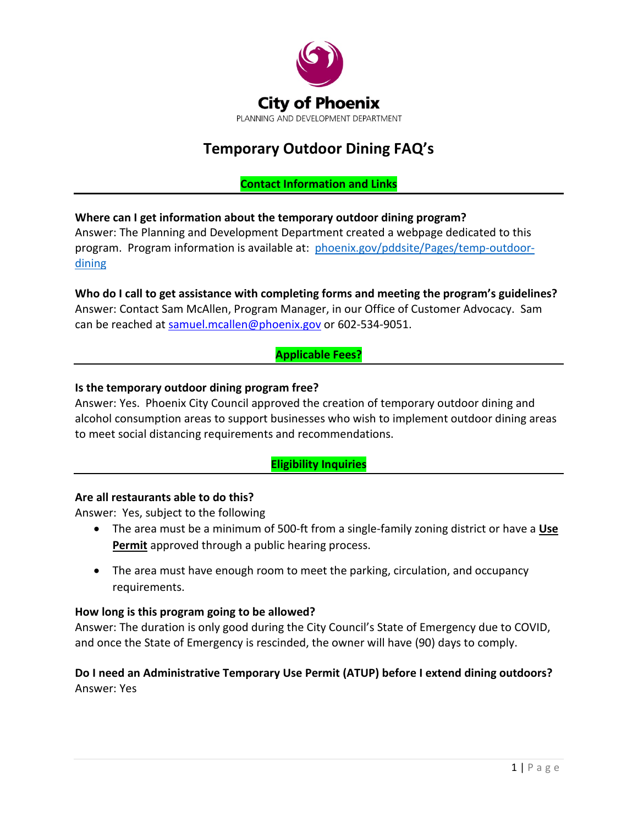

# **Temporary Outdoor Dining FAQ's**

# **Contact Information and Links**

# **Where can I get information about the temporary outdoor dining program?**

Answer: The Planning and Development Department created a webpage dedicated to this program. Program information is available at: phoenix.gov/pddsite/Pages/temp-outdoordining

# **Who do I call to get assistance with completing forms and meeting the program's guidelines?**  Answer: Contact Sam McAllen, Program Manager, in our Office of Customer Advocacy. Sam

can be reached at [samuel.mcallen@phoenix.gov](mailto:samuel.mcallen@phoenix.gov) or 602-534-9051.

# **Applicable Fees?**

## **Is the temporary outdoor dining program free?**

Answer: Yes. Phoenix City Council approved the creation of temporary outdoor dining and alcohol consumption areas to support businesses who wish to implement outdoor dining areas to meet social distancing requirements and recommendations.

# **Eligibility Inquiries**

## **Are all restaurants able to do this?**

Answer: Yes, subject to the following

- The area must be a minimum of 500-ft from a single-family zoning district or have a **Use Permit** approved through a public hearing process.
- The area must have enough room to meet the parking, circulation, and occupancy requirements.

## **How long is this program going to be allowed?**

Answer: The duration is only good during the City Council's State of Emergency due to COVID, and once the State of Emergency is rescinded, the owner will have (90) days to comply.

# **Do I need an Administrative Temporary Use Permit (ATUP) before I extend dining outdoors?** Answer: Yes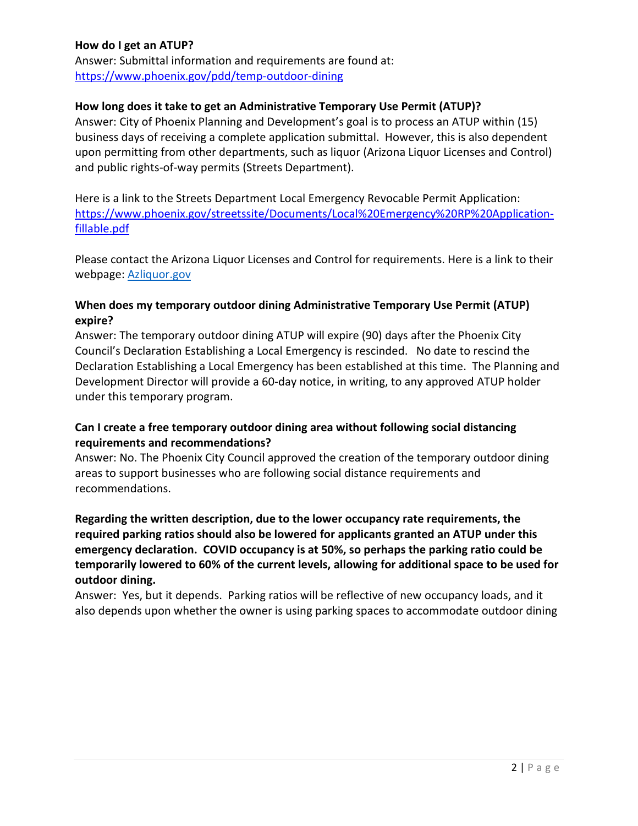## **How do I get an ATUP?**

Answer: Submittal information and requirements are found at: <https://www.phoenix.gov/pdd/temp-outdoor-dining>

#### **How long does it take to get an Administrative Temporary Use Permit (ATUP)?**

Answer: City of Phoenix Planning and Development's goal is to process an ATUP within (15) business days of receiving a complete application submittal. However, this is also dependent upon permitting from other departments, such as liquor (Arizona Liquor Licenses and Control) and public rights-of-way permits (Streets Department).

Here is a link to the Streets Department Local Emergency Revocable Permit Application: [https://www.phoenix.gov/streetssite/Documents/Local%20Emergency%20RP%20Application](https://www.phoenix.gov/streetssite/Documents/Local%20Emergency%20RP%20Application-fillable.pdf)[fillable.pdf](https://www.phoenix.gov/streetssite/Documents/Local%20Emergency%20RP%20Application-fillable.pdf)

Please contact the Arizona Liquor Licenses and Control for requirements. Here is a link to their webpage: Azliquor.gov

## **When does my temporary outdoor dining Administrative Temporary Use Permit (ATUP) expire?**

Answer: The temporary outdoor dining ATUP will expire (90) days after the Phoenix City Council's Declaration Establishing a Local Emergency is rescinded. No date to rescind the Declaration Establishing a Local Emergency has been established at this time. The Planning and Development Director will provide a 60-day notice, in writing, to any approved ATUP holder under this temporary program.

## **Can I create a free temporary outdoor dining area without following social distancing requirements and recommendations?**

Answer: No. The Phoenix City Council approved the creation of the temporary outdoor dining areas to support businesses who are following social distance requirements and recommendations.

**Regarding the written description, due to the lower occupancy rate requirements, the required parking ratios should also be lowered for applicants granted an ATUP under this emergency declaration. COVID occupancy is at 50%, so perhaps the parking ratio could be temporarily lowered to 60% of the current levels, allowing for additional space to be used for outdoor dining.**

Answer: Yes, but it depends. Parking ratios will be reflective of new occupancy loads, and it also depends upon whether the owner is using parking spaces to accommodate outdoor dining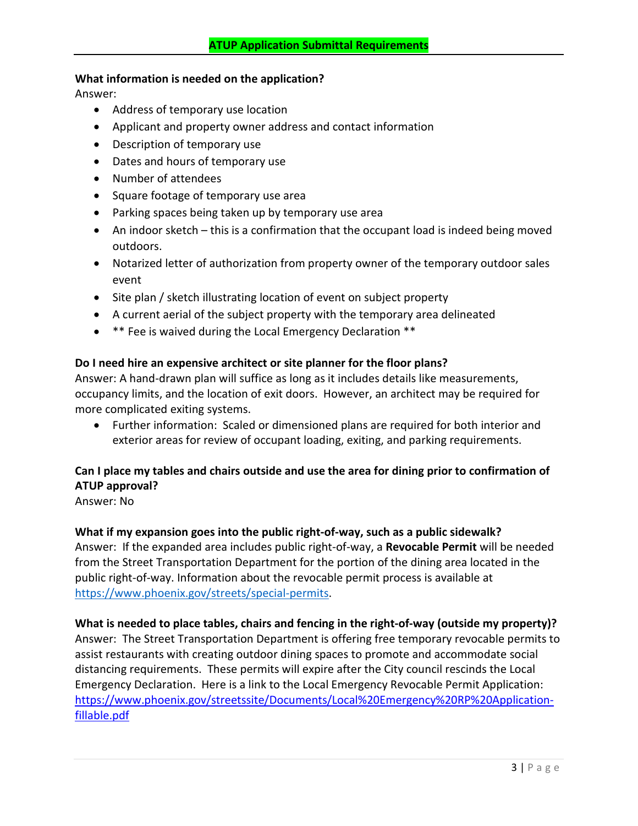#### **What information is needed on the application?**

Answer:

- Address of temporary use location
- Applicant and property owner address and contact information
- Description of temporary use
- Dates and hours of temporary use
- Number of attendees
- Square footage of temporary use area
- Parking spaces being taken up by temporary use area
- An indoor sketch this is a confirmation that the occupant load is indeed being moved outdoors.
- Notarized letter of authorization from property owner of the temporary outdoor sales event
- Site plan / sketch illustrating location of event on subject property
- A current aerial of the subject property with the temporary area delineated
- \*\* Fee is waived during the Local Emergency Declaration \*\*

#### **Do I need hire an expensive architect or site planner for the floor plans?**

Answer: A hand-drawn plan will suffice as long as it includes details like measurements, occupancy limits, and the location of exit doors. However, an architect may be required for more complicated exiting systems.

• Further information: Scaled or dimensioned plans are required for both interior and exterior areas for review of occupant loading, exiting, and parking requirements.

# **Can I place my tables and chairs outside and use the area for dining prior to confirmation of ATUP approval?**

Answer: No

# **What if my expansion goes into the public right-of-way, such as a public sidewalk?**

Answer: If the expanded area includes public right-of-way, a **Revocable Permit** will be needed from the Street Transportation Department for the portion of the dining area located in the public right-of-way. Information about the revocable permit process is available at [https://www.phoenix.gov/streets/special-permits.](https://www.phoenix.gov/streets/special-permits)

#### **What is needed to place tables, chairs and fencing in the right-of-way (outside my property)?**

Answer: The Street Transportation Department is offering free temporary revocable permits to assist restaurants with creating outdoor dining spaces to promote and accommodate social distancing requirements. These permits will expire after the City council rescinds the Local Emergency Declaration. Here is a link to the Local Emergency Revocable Permit Application: [https://www.phoenix.gov/streetssite/Documents/Local%20Emergency%20RP%20Application](https://www.phoenix.gov/streetssite/Documents/Local%20Emergency%20RP%20Application-fillable.pdf)[fillable.pdf](https://www.phoenix.gov/streetssite/Documents/Local%20Emergency%20RP%20Application-fillable.pdf)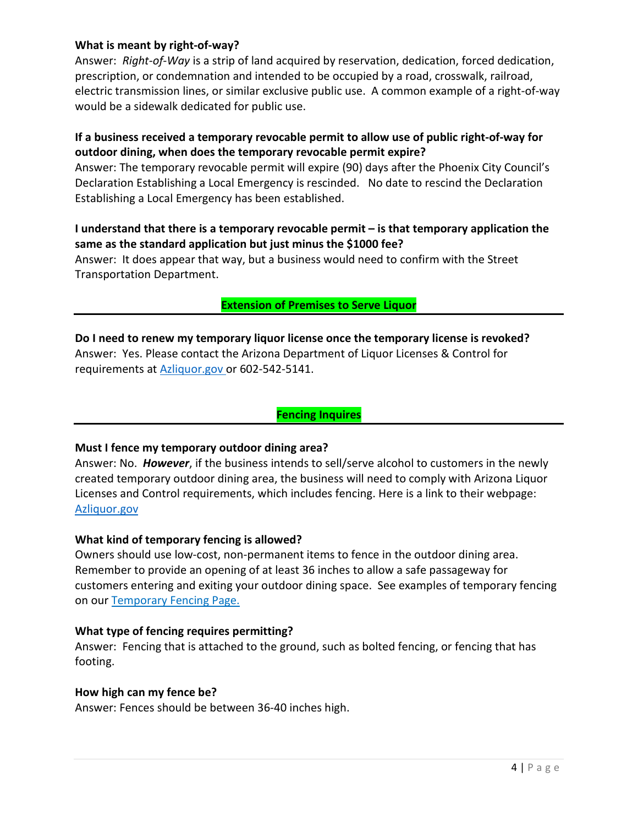### **What is meant by right-of-way?**

Answer: *Right-of-Way* is a strip of land acquired by reservation, dedication, forced dedication, prescription, or condemnation and intended to be occupied by a road, crosswalk, railroad, electric transmission lines, or similar exclusive public use. A common example of a right-of-way would be a sidewalk dedicated for public use.

## **If a business received a temporary revocable permit to allow use of public right-of-way for outdoor dining, when does the temporary revocable permit expire?**

Answer: The temporary revocable permit will expire (90) days after the Phoenix City Council's Declaration Establishing a Local Emergency is rescinded. No date to rescind the Declaration Establishing a Local Emergency has been established.

#### **I understand that there is a temporary revocable permit – is that temporary application the same as the standard application but just minus the \$1000 fee?**

Answer: It does appear that way, but a business would need to confirm with the Street Transportation Department.

#### **Extension of Premises to Serve Liquor**

**Do I need to renew my temporary liquor license once the temporary license is revoked?** Answer: Yes. Please contact the Arizona Department of Liquor Licenses & Control for requirements at Azliquor.gov or 602-542-5141.

### **Fencing Inquires**

#### **Must I fence my temporary outdoor dining area?**

Answer: No. *However*, if the business intends to sell/serve alcohol to customers in the newly created temporary outdoor dining area, the business will need to comply with Arizona Liquor Licenses and Control requirements, which includes fencing. Here is a link to their webpage: Azliquor.gov

#### **What kind of temporary fencing is allowed?**

Owners should use low-cost, non-permanent items to fence in the outdoor dining area. Remember to provide an opening of at least 36 inches to allow a safe passageway for customers entering and exiting your outdoor dining space. See examples of temporary fencing on our Temporary Fencing Page.

#### **What type of fencing requires permitting?**

Answer: Fencing that is attached to the ground, such as bolted fencing, or fencing that has footing.

#### **How high can my fence be?**

Answer: Fences should be between 36-40 inches high.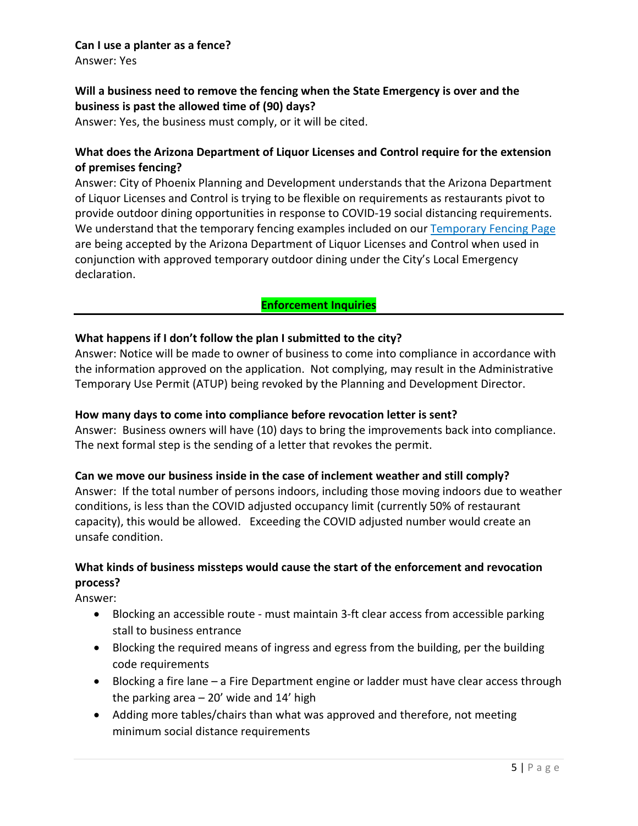#### **Can I use a planter as a fence?**

Answer: Yes

## **Will a business need to remove the fencing when the State Emergency is over and the business is past the allowed time of (90) days?**

Answer: Yes, the business must comply, or it will be cited.

# **What does the Arizona Department of Liquor Licenses and Control require for the extension of premises fencing?**

Answer: City of Phoenix Planning and Development understands that the Arizona Department of Liquor Licenses and Control is trying to be flexible on requirements as restaurants pivot to provide outdoor dining opportunities in response to COVID-19 social distancing requirements. We understand that the temporary fencing examples included on our Temporary Fencing Page are being accepted by the Arizona Department of Liquor Licenses and Control when used in conjunction with approved temporary outdoor dining under the City's Local Emergency declaration.

## **Enforcement Inquiries**

#### **What happens if I don't follow the plan I submitted to the city?**

Answer: Notice will be made to owner of business to come into compliance in accordance with the information approved on the application. Not complying, may result in the Administrative Temporary Use Permit (ATUP) being revoked by the Planning and Development Director.

#### **How many days to come into compliance before revocation letter is sent?**

Answer: Business owners will have (10) days to bring the improvements back into compliance. The next formal step is the sending of a letter that revokes the permit.

#### **Can we move our business inside in the case of inclement weather and still comply?**

Answer: If the total number of persons indoors, including those moving indoors due to weather conditions, is less than the COVID adjusted occupancy limit (currently 50% of restaurant capacity), this would be allowed. Exceeding the COVID adjusted number would create an unsafe condition.

# **What kinds of business missteps would cause the start of the enforcement and revocation process?**

Answer:

- Blocking an accessible route must maintain 3-ft clear access from accessible parking stall to business entrance
- Blocking the required means of ingress and egress from the building, per the building code requirements
- Blocking a fire lane a Fire Department engine or ladder must have clear access through the parking area  $-20'$  wide and 14' high
- Adding more tables/chairs than what was approved and therefore, not meeting minimum social distance requirements